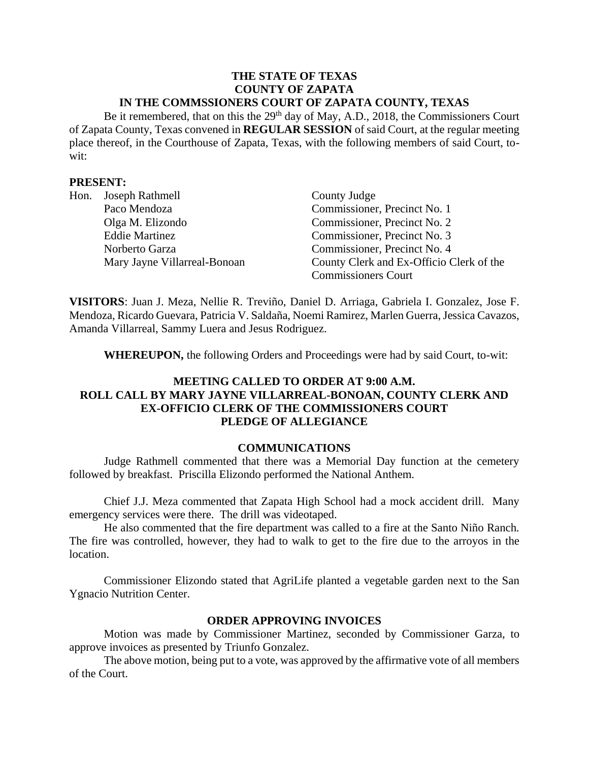#### **THE STATE OF TEXAS COUNTY OF ZAPATA IN THE COMMSSIONERS COURT OF ZAPATA COUNTY, TEXAS**

Be it remembered, that on this the 29<sup>th</sup> day of May, A.D., 2018, the Commissioners Court of Zapata County, Texas convened in **REGULAR SESSION** of said Court, at the regular meeting place thereof, in the Courthouse of Zapata, Texas, with the following members of said Court, towit:

#### **PRESENT:**

| Hon. | Joseph Rathmell              | County Judge                             |
|------|------------------------------|------------------------------------------|
|      | Paco Mendoza                 | Commissioner, Precinct No. 1             |
|      | Olga M. Elizondo             | Commissioner, Precinct No. 2             |
|      | <b>Eddie Martinez</b>        | Commissioner, Precinct No. 3             |
|      | Norberto Garza               | Commissioner, Precinct No. 4             |
|      | Mary Jayne Villarreal-Bonoan | County Clerk and Ex-Officio Clerk of the |
|      |                              | <b>Commissioners Court</b>               |

**VISITORS**: Juan J. Meza, Nellie R. Treviño, Daniel D. Arriaga, Gabriela I. Gonzalez, Jose F. Mendoza, Ricardo Guevara, Patricia V. Saldaña, Noemi Ramirez, Marlen Guerra, Jessica Cavazos, Amanda Villarreal, Sammy Luera and Jesus Rodriguez.

**WHEREUPON,** the following Orders and Proceedings were had by said Court, to-wit:

## **MEETING CALLED TO ORDER AT 9:00 A.M. ROLL CALL BY MARY JAYNE VILLARREAL-BONOAN, COUNTY CLERK AND EX-OFFICIO CLERK OF THE COMMISSIONERS COURT PLEDGE OF ALLEGIANCE**

#### **COMMUNICATIONS**

Judge Rathmell commented that there was a Memorial Day function at the cemetery followed by breakfast. Priscilla Elizondo performed the National Anthem.

Chief J.J. Meza commented that Zapata High School had a mock accident drill. Many emergency services were there. The drill was videotaped.

He also commented that the fire department was called to a fire at the Santo Niño Ranch. The fire was controlled, however, they had to walk to get to the fire due to the arroyos in the location.

Commissioner Elizondo stated that AgriLife planted a vegetable garden next to the San Ygnacio Nutrition Center.

#### **ORDER APPROVING INVOICES**

Motion was made by Commissioner Martinez, seconded by Commissioner Garza, to approve invoices as presented by Triunfo Gonzalez.

The above motion, being put to a vote, was approved by the affirmative vote of all members of the Court.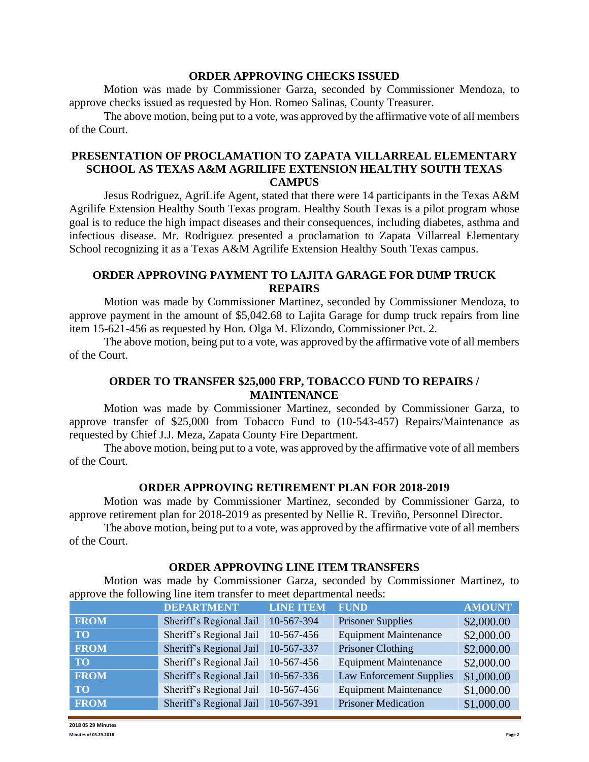#### **ORDER APPROVING CHECKS ISSUED**

Motion was made by Commissioner Garza, seconded by Commissioner Mendoza, to approve checks issued as requested by Hon. Romeo Salinas, County Treasurer.

The above motion, being put to a vote, was approved by the affirmative vote of all members of the Court.

## **PRESENTATION OF PROCLAMATION TO ZAPATA VILLARREAL ELEMENTARY SCHOOL AS TEXAS A&M AGRILIFE EXTENSION HEALTHY SOUTH TEXAS CAMPUS**

Jesus Rodriguez, AgriLife Agent, stated that there were 14 participants in the Texas A&M Agrilife Extension Healthy South Texas program. Healthy South Texas is a pilot program whose goal is to reduce the high impact diseases and their consequences, including diabetes, asthma and infectious disease. Mr. Rodriguez presented a proclamation to Zapata Villarreal Elementary School recognizing it as a Texas A&M Agrilife Extension Healthy South Texas campus.

# **ORDER APPROVING PAYMENT TO LAJITA GARAGE FOR DUMP TRUCK REPAIRS**

Motion was made by Commissioner Martinez, seconded by Commissioner Mendoza, to approve payment in the amount of \$5,042.68 to Lajita Garage for dump truck repairs from line item 15-621-456 as requested by Hon. Olga M. Elizondo, Commissioner Pct. 2.

The above motion, being put to a vote, was approved by the affirmative vote of all members of the Court.

## **ORDER TO TRANSFER \$25,000 FRP, TOBACCO FUND TO REPAIRS / MAINTENANCE**

Motion was made by Commissioner Martinez, seconded by Commissioner Garza, to approve transfer of \$25,000 from Tobacco Fund to (10-543-457) Repairs/Maintenance as requested by Chief J.J. Meza, Zapata County Fire Department.

The above motion, being put to a vote, was approved by the affirmative vote of all members of the Court.

#### **ORDER APPROVING RETIREMENT PLAN FOR 2018-2019**

Motion was made by Commissioner Martinez, seconded by Commissioner Garza, to approve retirement plan for 2018-2019 as presented by Nellie R. Treviño, Personnel Director.

The above motion, being put to a vote, was approved by the affirmative vote of all members of the Court.

#### **ORDER APPROVING LINE ITEM TRANSFERS**

Motion was made by Commissioner Garza, seconded by Commissioner Martinez, to approve the following line item transfer to meet departmental needs:

|                 | <b>DEPARTMENT</b>       | <b>LINE ITEM</b> | <b>FUND</b>                     | <b>AMOUNT</b> |
|-----------------|-------------------------|------------------|---------------------------------|---------------|
| <b>FROM</b>     | Sheriff's Regional Jail | 10-567-394       | <b>Prisoner Supplies</b>        | \$2,000.00    |
| TO <sub>1</sub> | Sheriff's Regional Jail | 10-567-456       | <b>Equipment Maintenance</b>    | \$2,000.00    |
| <b>FROM</b>     | Sheriff's Regional Jail | 10-567-337       | Prisoner Clothing               | \$2,000.00    |
| TO              | Sheriff's Regional Jail | 10-567-456       | <b>Equipment Maintenance</b>    | \$2,000.00    |
| <b>FROM</b>     | Sheriff's Regional Jail | 10-567-336       | <b>Law Enforcement Supplies</b> | \$1,000.00    |
| TO <sub>1</sub> | Sheriff's Regional Jail | 10-567-456       | <b>Equipment Maintenance</b>    | \$1,000.00    |
| <b>FROM</b>     | Sheriff's Regional Jail | 10-567-391       | <b>Prisoner Medication</b>      | \$1,000.00    |

**2018 05 29 Minutes Minutes of 05.29.2018 Page 2**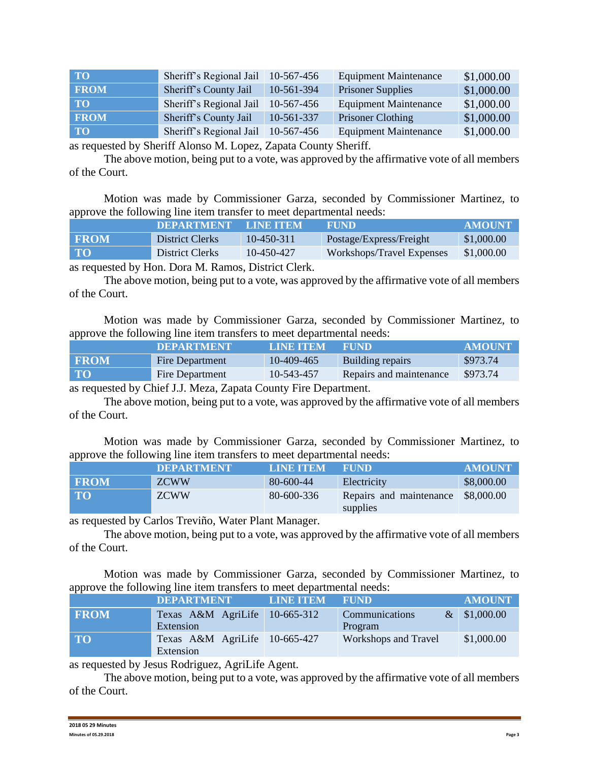| <b>TO</b>   | Sheriff's Regional Jail | 10-567-456 | <b>Equipment Maintenance</b> | \$1,000.00 |
|-------------|-------------------------|------------|------------------------------|------------|
| <b>FROM</b> | Sheriff's County Jail   | 10-561-394 | <b>Prisoner Supplies</b>     | \$1,000.00 |
| <b>TO</b>   | Sheriff's Regional Jail | 10-567-456 | <b>Equipment Maintenance</b> | \$1,000.00 |
| <b>FROM</b> | Sheriff's County Jail   | 10-561-337 | Prisoner Clothing            | \$1,000.00 |
| <b>TO</b>   | Sheriff's Regional Jail | 10-567-456 | <b>Equipment Maintenance</b> | \$1,000.00 |

as requested by Sheriff Alonso M. Lopez, Zapata County Sheriff.

The above motion, being put to a vote, was approved by the affirmative vote of all members of the Court.

Motion was made by Commissioner Garza, seconded by Commissioner Martinez, to approve the following line item transfer to meet departmental needs:

|             | <b>DEPARTMENT</b> | <b>LINE ITEM</b> | <b>FUND</b>               | <b>AMOUNT</b> |
|-------------|-------------------|------------------|---------------------------|---------------|
| <b>FROM</b> | District Clerks   | $10-450-311$     | Postage/Express/Freight   | \$1,000.00    |
| <b>TO</b>   | District Clerks   | 10-450-427       | Workshops/Travel Expenses | \$1,000.00    |
|             |                   |                  |                           |               |

as requested by Hon. Dora M. Ramos, District Clerk.

The above motion, being put to a vote, was approved by the affirmative vote of all members of the Court.

Motion was made by Commissioner Garza, seconded by Commissioner Martinez, to approve the following line item transfers to meet departmental needs:

|              | <b>DEPARTMENT</b> | LINE ITEM  | <b>FUND</b>             | <b>AMOUNT</b> |
|--------------|-------------------|------------|-------------------------|---------------|
| <b>FROM</b>  | Fire Department   | 10-409-465 | Building repairs        | \$973.74      |
| $\mathbf{T}$ | Fire Department   | 10-543-457 | Repairs and maintenance | \$973.74      |

as requested by Chief J.J. Meza, Zapata County Fire Department.

The above motion, being put to a vote, was approved by the affirmative vote of all members of the Court.

Motion was made by Commissioner Garza, seconded by Commissioner Martinez, to approve the following line item transfers to meet departmental needs:

| .           |                   |                  |                                     |               |
|-------------|-------------------|------------------|-------------------------------------|---------------|
|             | <b>DEPARTMENT</b> | <b>LINE ITEM</b> | <b>FUND</b>                         | <b>AMOUNT</b> |
| <b>FROM</b> | <b>ZCWW</b>       | $80 - 600 - 44$  | Electricity                         | \$8,000.00    |
| <b>TO</b>   | <b>ZCWW</b>       | 80-600-336       | Repairs and maintenance<br>supplies | \$8,000.00    |

as requested by Carlos Treviño, Water Plant Manager.

The above motion, being put to a vote, was approved by the affirmative vote of all members of the Court.

Motion was made by Commissioner Garza, seconded by Commissioner Martinez, to approve the following line item transfers to meet departmental needs:

|             | <b>DEPARTMENT</b>                          | <b>LINE ITEM</b> | <b>FUND</b>                 | <b>AMOUNT</b>  |
|-------------|--------------------------------------------|------------------|-----------------------------|----------------|
| <b>FROM</b> | Texas A&M AgriLife 10-665-312<br>Extension |                  | Communications<br>Program   | $&$ \$1,000.00 |
| <b>TO</b>   | Texas A&M AgriLife 10-665-427<br>Extension |                  | <b>Workshops and Travel</b> | \$1,000.00     |

as requested by Jesus Rodriguez, AgriLife Agent.

The above motion, being put to a vote, was approved by the affirmative vote of all members of the Court.